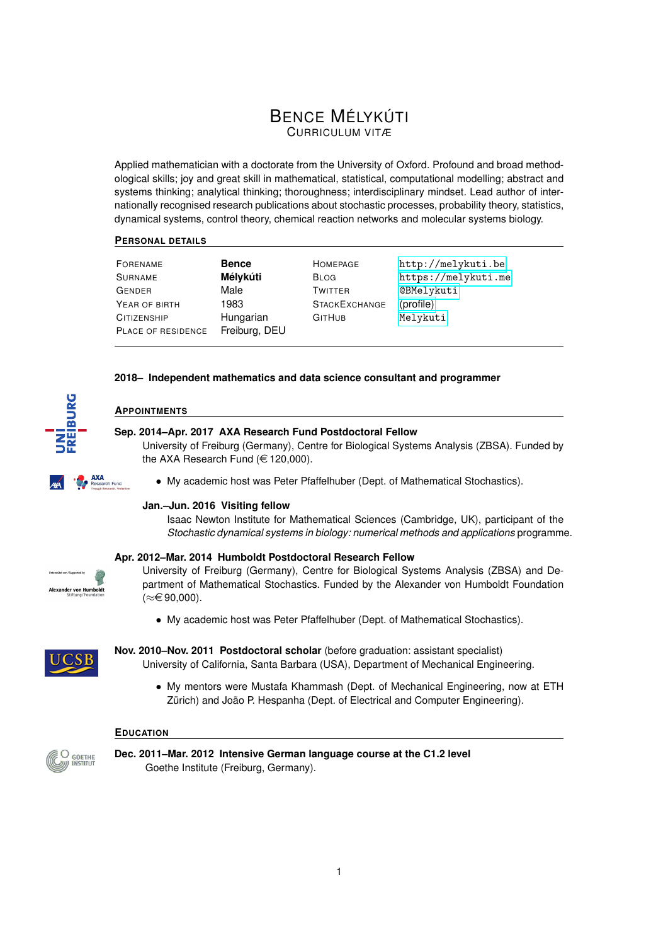# BENCE MÉLYKÚTI CURRICULUM VITÆ

Applied mathematician with a doctorate from the University of Oxford. Profound and broad methodological skills; joy and great skill in mathematical, statistical, computational modelling; abstract and systems thinking; analytical thinking; thoroughness; interdisciplinary mindset. Lead author of internationally recognised research publications about stochastic processes, probability theory, statistics, dynamical systems, control theory, chemical reaction networks and molecular systems biology.

# **PERSONAL DETAILS**

| FORENAME           | <b>Bence</b>  | HOMEPAGE             | http://melykuti.be  |
|--------------------|---------------|----------------------|---------------------|
| <b>SURNAME</b>     | Mélykúti      | <b>BLOG</b>          | https://melykuti.me |
| <b>GENDER</b>      | Male          | <b>TWITTER</b>       | <b>@BMelykuti</b>   |
| YEAR OF BIRTH      | 1983          | <b>STACKEXCHANGE</b> | (profile)           |
| <b>CITIZENSHIP</b> | Hungarian     | <b>GITHUB</b>        | Melykuti            |
| PLACE OF RESIDENCE | Freiburg, DEU |                      |                     |

# **2018– Independent mathematics and data science consultant and programmer**



**AXA**<br>Research Fund

# **APPOINTMENTS**

# **Sep. 2014–Apr. 2017 AXA Research Fund Postdoctoral Fellow**

University of Freiburg (Germany), Centre for Biological Systems Analysis (ZBSA). Funded by the AXA Research Fund  $(\in$  120,000).

• My academic host was Peter Pfaffelhuber (Dept. of Mathematical Stochastics).

# **Jan.–Jun. 2016 Visiting fellow**

Isaac Newton Institute for Mathematical Sciences (Cambridge, UK), participant of the *Stochastic dynamical systems in biology: numerical methods and applications* programme.

# **Apr. 2012–Mar. 2014 Humboldt Postdoctoral Research Fellow**



University of Freiburg (Germany), Centre for Biological Systems Analysis (ZBSA) and Department of Mathematical Stochastics. Funded by the Alexander von Humboldt Foundation  $(≈€90,000).$ 

• My academic host was Peter Pfaffelhuber (Dept. of Mathematical Stochastics).



- **Nov. 2010–Nov. 2011 Postdoctoral scholar** (before graduation: assistant specialist) University of California, Santa Barbara (USA), Department of Mechanical Engineering.
	- My mentors were Mustafa Khammash (Dept. of Mechanical Engineering, now at ETH Zürich) and João P. Hespanha (Dept. of Electrical and Computer Engineering).

# **EDUCATION**



**Dec. 2011–Mar. 2012 Intensive German language course at the C1.2 level** Goethe Institute (Freiburg, Germany).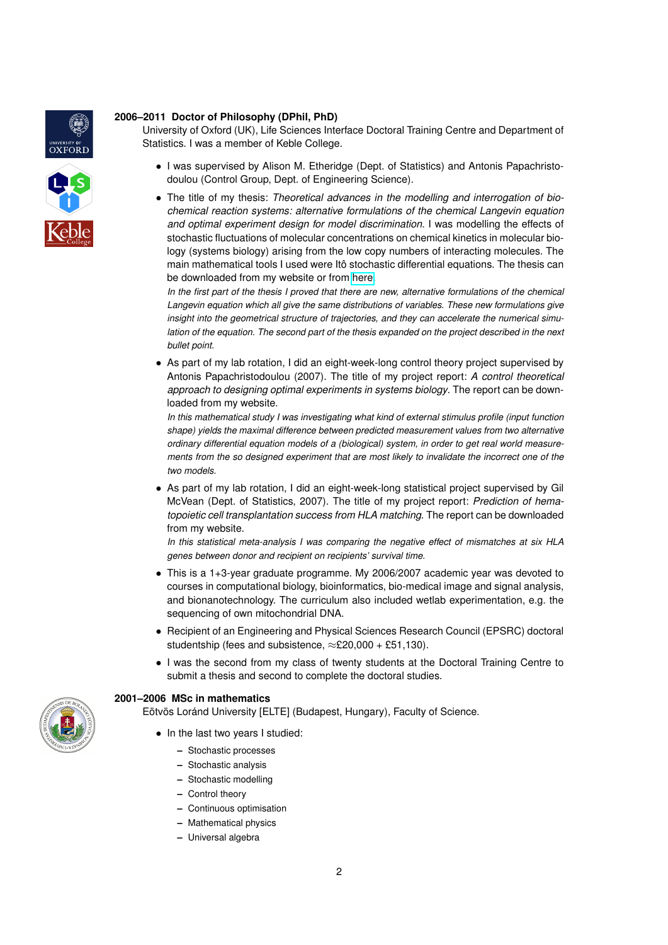

# **2006–2011 Doctor of Philosophy (DPhil, PhD)**

University of Oxford (UK), Life Sciences Interface Doctoral Training Centre and Department of Statistics. I was a member of Keble College.

- I was supervised by Alison M. Etheridge (Dept. of Statistics) and Antonis Papachristodoulou (Control Group, Dept. of Engineering Science).
- The title of my thesis: *Theoretical advances in the modelling and interrogation of biochemical reaction systems: alternative formulations of the chemical Langevin equation and optimal experiment design for model discrimination*. I was modelling the effects of stochastic fluctuations of molecular concentrations on chemical kinetics in molecular biology (systems biology) arising from the low copy numbers of interacting molecules. The main mathematical tools I used were Itô stochastic differential equations. The thesis can be downloaded from my website or from [here.](http://ora.ouls.ox.ac.uk/objects/uuid%3Ad368c04c-b611-41b2-8866-cde16b283b0d)

*In the first part of the thesis I proved that there are new, alternative formulations of the chemical Langevin equation which all give the same distributions of variables. These new formulations give insight into the geometrical structure of trajectories, and they can accelerate the numerical simulation of the equation. The second part of the thesis expanded on the project described in the next bullet point.*

• As part of my lab rotation, I did an eight-week-long control theory project supervised by Antonis Papachristodoulou (2007). The title of my project report: *A control theoretical approach to designing optimal experiments in systems biology*. The report can be downloaded from my website.

*In this mathematical study I was investigating what kind of external stimulus profile (input function shape) yields the maximal difference between predicted measurement values from two alternative ordinary differential equation models of a (biological) system, in order to get real world measurements from the so designed experiment that are most likely to invalidate the incorrect one of the two models.*

• As part of my lab rotation, I did an eight-week-long statistical project supervised by Gil McVean (Dept. of Statistics, 2007). The title of my project report: *Prediction of hematopoietic cell transplantation success from HLA matching*. The report can be downloaded from my website.

*In this statistical meta-analysis I was comparing the negative effect of mismatches at six HLA genes between donor and recipient on recipients' survival time.*

- This is a 1+3-year graduate programme. My 2006/2007 academic year was devoted to courses in computational biology, bioinformatics, bio-medical image and signal analysis, and bionanotechnology. The curriculum also included wetlab experimentation, e.g. the sequencing of own mitochondrial DNA.
- Recipient of an Engineering and Physical Sciences Research Council (EPSRC) doctoral studentship (fees and subsistence,  $\approx$ £20,000 + £51,130).
- I was the second from my class of twenty students at the Doctoral Training Centre to submit a thesis and second to complete the doctoral studies.

# **2001–2006 MSc in mathematics**

Eötvös Loránd University [ELTE] (Budapest, Hungary), Faculty of Science.

- In the last two years I studied:
	- **–** Stochastic processes
	- **–** Stochastic analysis
	- **–** Stochastic modelling
	- **–** Control theory
	- **–** Continuous optimisation
	- **–** Mathematical physics
	- **–** Universal algebra

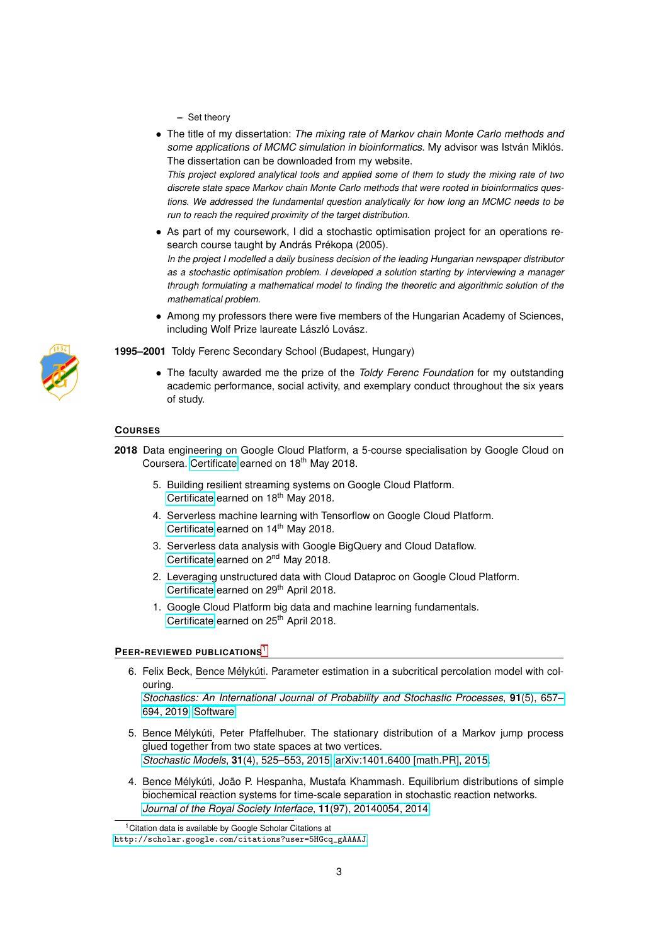- **–** Set theory
- The title of my dissertation: *The mixing rate of Markov chain Monte Carlo methods and some applications of MCMC simulation in bioinformatics*. My advisor was István Miklós. The dissertation can be downloaded from my website.

*This project explored analytical tools and applied some of them to study the mixing rate of two discrete state space Markov chain Monte Carlo methods that were rooted in bioinformatics questions. We addressed the fundamental question analytically for how long an MCMC needs to be run to reach the required proximity of the target distribution.*

• As part of my coursework, I did a stochastic optimisation project for an operations research course taught by András Prékopa (2005).

*In the project I modelled a daily business decision of the leading Hungarian newspaper distributor as a stochastic optimisation problem. I developed a solution starting by interviewing a manager through formulating a mathematical model to finding the theoretic and algorithmic solution of the mathematical problem.*

• Among my professors there were five members of the Hungarian Academy of Sciences, including Wolf Prize laureate László Lovász.

**1995–2001** Toldy Ferenc Secondary School (Budapest, Hungary)

• The faculty awarded me the prize of the *Toldy Ferenc Foundation* for my outstanding academic performance, social activity, and exemplary conduct throughout the six years of study.

# **COURSES**

**2018** Data engineering on Google Cloud Platform, a 5-course specialisation by Google Cloud on Coursera. [Certificate](https://www.coursera.org/account/accomplishments/specialization/LE694U8LPJ5Z) earned on 18<sup>th</sup> May 2018.

- 5. Building resilient streaming systems on Google Cloud Platform. [Certificate](https://www.coursera.org/verify/QTCQGLP4QPQC) earned on 18<sup>th</sup> May 2018.
- 4. Serverless machine learning with Tensorflow on Google Cloud Platform. [Certificate](https://www.coursera.org/verify/Q8WLEU9BEJ2W) earned on  $14<sup>th</sup>$  May 2018.
- 3. Serverless data analysis with Google BigQuery and Cloud Dataflow. [Certificate](https://www.coursera.org/verify/64JUXJ5Y9UYT) earned on 2<sup>nd</sup> May 2018.
- 2. Leveraging unstructured data with Cloud Dataproc on Google Cloud Platform. [Certificate](https://www.coursera.org/verify/SYS3RL3V7U4R) earned on 29<sup>th</sup> April 2018.
- 1. Google Cloud Platform big data and machine learning fundamentals. [Certificate](https://www.coursera.org/verify/CKWYKW9ZU7QH) earned on 25<sup>th</sup> April 2018.

# **PEER-REVIEWED PUBLICATIONS**[1](#page-2-0)

6. Felix Beck, Bence Mélykúti. Parameter estimation in a subcritical percolation model with colouring.

*[Stochastics: An International Journal of Probability and Stochastic Processes](https://doi.org/10.1080/17442508.2018.1539089)*, **91**(5), 657– [694, 2019.](https://doi.org/10.1080/17442508.2018.1539089) [Software.](https://github.com/Melykuti/Parameterestimation_MSM)

- 5. Bence Mélykúti, Peter Pfaffelhuber. The stationary distribution of a Markov jump process glued together from two state spaces at two vertices. *Stochastic Models*, **31**[\(4\), 525–553, 2015.](http://www.tandfonline.com/doi/full/10.1080/15326349.2015.1055769) [arXiv:1401.6400 \[math.PR\], 2015.](http://arxiv.org/abs/1401.6400)
- 4. Bence Mélykúti, João P. Hespanha, Mustafa Khammash. Equilibrium distributions of simple biochemical reaction systems for time-scale separation in stochastic reaction networks. *[Journal of the Royal Society Interface](http://dx.doi.org/10.1098/rsif.2014.0054)*, **11**(97), 20140054, 2014.

<span id="page-2-0"></span><sup>&</sup>lt;sup>1</sup> Citation data is available by Google Scholar Citations at

[http://scholar.google.com/citations?user=5HGcq\\_gAAAAJ](http://scholar.google.com/citations?user=5HGcq_gAAAAJ).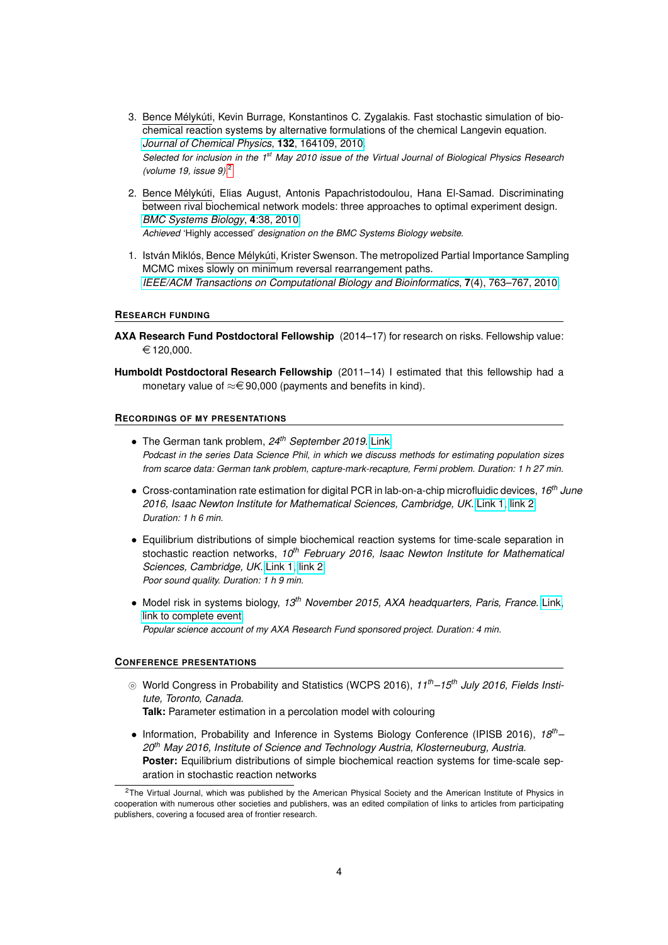- 3. Bence Mélykúti, Kevin Burrage, Konstantinos C. Zygalakis. Fast stochastic simulation of biochemical reaction systems by alternative formulations of the chemical Langevin equation. *[Journal of Chemical Physics](http://link.aip.org/link/?JCP/132/164109)*, **132**, 164109, 2010. *Selected for inclusion in the 1st May 2010 issue of the Virtual Journal of Biological Physics Research (volume 19, issue 9).*[2](#page-3-0)
- 2. Bence Mélykúti, Elias August, Antonis Papachristodoulou, Hana El-Samad. Discriminating between rival biochemical network models: three approaches to optimal experiment design. *[BMC Systems Biology](http://www.biomedcentral.com/1752-0509/4/38)*, **4**:38, 2010. *Achieved* 'Highly accessed' *designation on the BMC Systems Biology website.*
- 1. István Miklós, Bence Mélykúti, Krister Swenson. The metropolized Partial Importance Sampling MCMC mixes slowly on minimum reversal rearrangement paths. *[IEEE/ACM Transactions on Computational Biology and Bioinformatics](http://dx.doi.org/10.1109/TCBB.2009.26)*, **7**(4), 763–767, 2010.

### **RESEARCH FUNDING**

- **AXA Research Fund Postdoctoral Fellowship** (2014–17) for research on risks. Fellowship value:  $€ 120,000.$
- **Humboldt Postdoctoral Research Fellowship** (2011–14) I estimated that this fellowship had a monetary value of  $\approx \in 90,000$  (payments and benefits in kind).

#### **RECORDINGS OF MY PRESENTATIONS**

- The German tank problem, *24th September 2019*. [Link.](https://anchor.fm/philipp-packmohr/episodes/The-German-Tank-Problem-e54ctv) *Podcast in the series Data Science Phil, in which we discuss methods for estimating population sizes from scarce data: German tank problem, capture-mark-recapture, Fermi problem. Duration: 1 h 27 min.*
- Cross-contamination rate estimation for digital PCR in lab-on-a-chip microfluidic devices, *16th June 2016, Isaac Newton Institute for Mathematical Sciences, Cambridge, UK.* [Link 1,](http://www.newton.ac.uk/seminar/20160616110012002) [link 2.](http://sms.cam.ac.uk/media/2283166) *Duration: 1 h 6 min.*
- Equilibrium distributions of simple biochemical reaction systems for time-scale separation in stochastic reaction networks, *10th February 2016, Isaac Newton Institute for Mathematical Sciences, Cambridge, UK.* [Link 1,](http://www.newton.ac.uk/seminar/20160210150016002) [link 2.](http://sms.cam.ac.uk/media/2188770) *Poor sound quality. Duration: 1 h 9 min.*
- Model risk in systems biology, *13th November 2015, AXA headquarters, Paris, France.* [Link,](https://www.youtube.com/watch?v=v3jEvbKurJ4) [link to complete event.](https://www.youtube.com/watch?v=zE6ZfahDxuA) *Popular science account of my AXA Research Fund sponsored project. Duration: 4 min.*

### **CONFERENCE PRESENTATIONS**

- } World Congress in Probability and Statistics (WCPS 2016), *11th–15th July 2016, Fields Institute, Toronto, Canada.*
	- **Talk:** Parameter estimation in a percolation model with colouring
- Information, Probability and Inference in Systems Biology Conference (IPISB 2016), *18th– 20th May 2016, Institute of Science and Technology Austria, Klosterneuburg, Austria.* **Poster:** Equilibrium distributions of simple biochemical reaction systems for time-scale separation in stochastic reaction networks

<span id="page-3-0"></span><sup>&</sup>lt;sup>2</sup>The Virtual Journal, which was published by the American Physical Society and the American Institute of Physics in cooperation with numerous other societies and publishers, was an edited compilation of links to articles from participating publishers, covering a focused area of frontier research.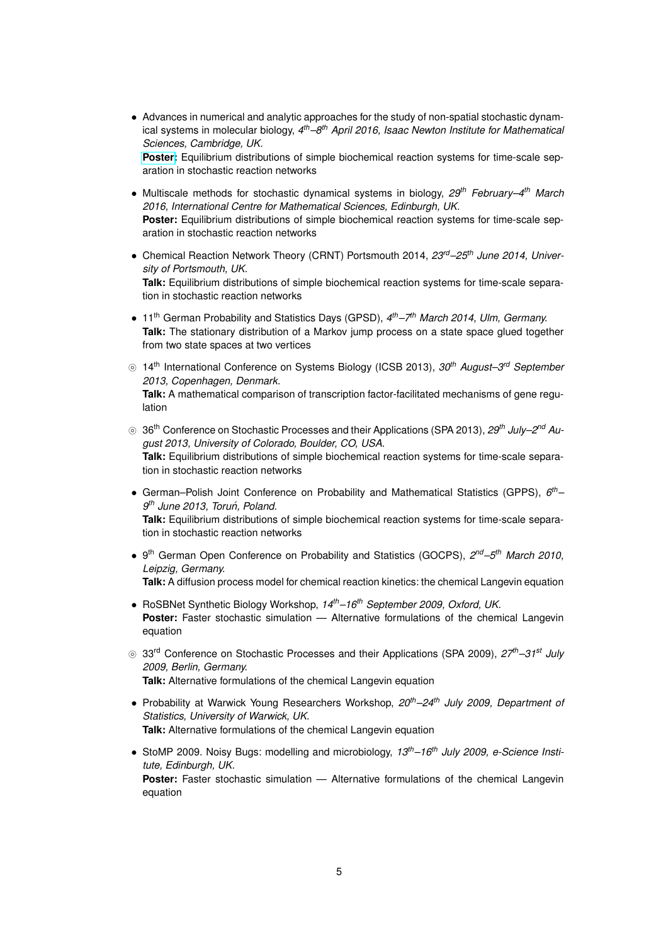• Advances in numerical and analytic approaches for the study of non-spatial stochastic dynamical systems in molecular biology, *4 th–8th April 2016, Isaac Newton Institute for Mathematical Sciences, Cambridge, UK.* **[Poster:](http://www.newton.ac.uk/event/sdbw03/posters)** Equilibrium distributions of simple biochemical reaction systems for time-scale sep-

aration in stochastic reaction networks

• Multiscale methods for stochastic dynamical systems in biology, *29th February–4th March 2016, International Centre for Mathematical Sciences, Edinburgh, UK.* **Poster:** Equilibrium distributions of simple biochemical reaction systems for time-scale separation in stochastic reaction networks

- Chemical Reaction Network Theory (CRNT) Portsmouth 2014, *23rd–25th June 2014, University of Portsmouth, UK.* **Talk:** Equilibrium distributions of simple biochemical reaction systems for time-scale separation in stochastic reaction networks
- 11<sup>th</sup> German Probability and Statistics Days (GPSD), 4<sup>th</sup>–7<sup>th</sup> March 2014, Ulm, Germany. **Talk:** The stationary distribution of a Markov jump process on a state space glued together from two state spaces at two vertices
- } 14th International Conference on Systems Biology (ICSB 2013), *30th August–3rd September 2013, Copenhagen, Denmark.* **Talk:** A mathematical comparison of transcription factor-facilitated mechanisms of gene regulation
- ◎ 36<sup>th</sup> Conference on Stochastic Processes and their Applications (SPA 2013), 29<sup>th</sup> July–2<sup>nd</sup> Au*gust 2013, University of Colorado, Boulder, CO, USA.* **Talk:** Equilibrium distributions of simple biochemical reaction systems for time-scale separation in stochastic reaction networks
- German–Polish Joint Conference on Probability and Mathematical Statistics (GPPS), *6 th– 9 th June 2013, Torun, Poland. ´* **Talk:** Equilibrium distributions of simple biochemical reaction systems for time-scale separation in stochastic reaction networks
- 9 th German Open Conference on Probability and Statistics (GOCPS), *2 nd–5th March 2010, Leipzig, Germany.* **Talk:** A diffusion process model for chemical reaction kinetics: the chemical Langevin equation
- RoSBNet Synthetic Biology Workshop, *14th–16th September 2009, Oxford, UK.* **Poster:** Faster stochastic simulation — Alternative formulations of the chemical Langevin equation
- } 33rd Conference on Stochastic Processes and their Applications (SPA 2009), *27th–31st July 2009, Berlin, Germany.* **Talk:** Alternative formulations of the chemical Langevin equation
- Probability at Warwick Young Researchers Workshop, *20th–24th July 2009, Department of Statistics, University of Warwick, UK.* **Talk:** Alternative formulations of the chemical Langevin equation
- StoMP 2009. Noisy Bugs: modelling and microbiology, *13th–16th July 2009, e-Science Institute, Edinburgh, UK.* **Poster:** Faster stochastic simulation — Alternative formulations of the chemical Langevin equation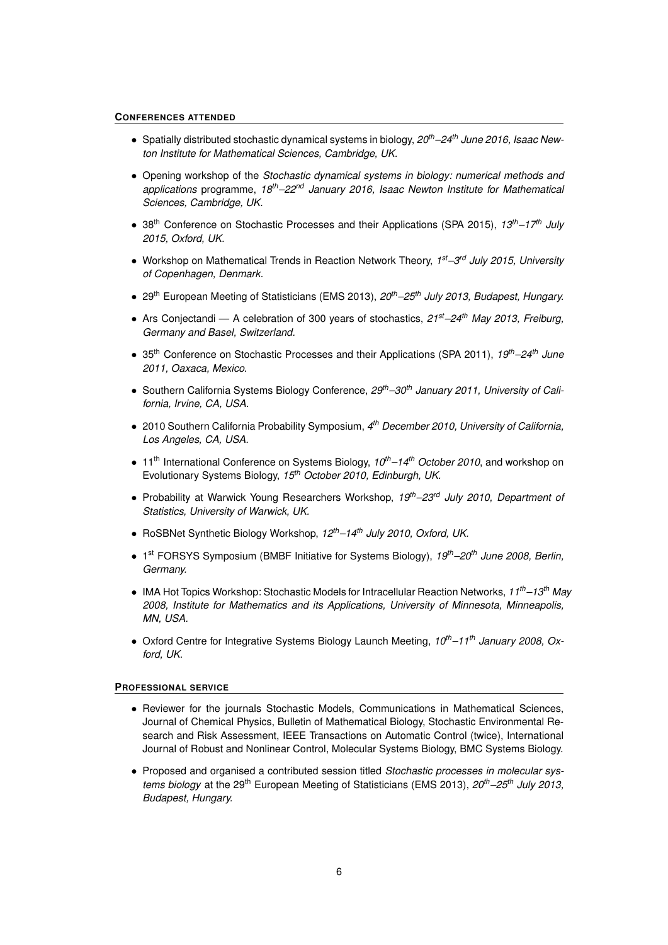# **CONFERENCES ATTENDED**

- Spatially distributed stochastic dynamical systems in biology, *20th–24th June 2016, Isaac Newton Institute for Mathematical Sciences, Cambridge, UK.*
- Opening workshop of the *Stochastic dynamical systems in biology: numerical methods and applications* programme, *18th–22nd January 2016, Isaac Newton Institute for Mathematical Sciences, Cambridge, UK.*
- 38th Conference on Stochastic Processes and their Applications (SPA 2015), *13th–17th July 2015, Oxford, UK.*
- Workshop on Mathematical Trends in Reaction Network Theory, *1 st–3rd July 2015, University of Copenhagen, Denmark.*
- 29th European Meeting of Statisticians (EMS 2013), *20th–25th July 2013, Budapest, Hungary.*
- Ars Conjectandi A celebration of 300 years of stochastics, *21st–24th May 2013, Freiburg, Germany and Basel, Switzerland.*
- 35th Conference on Stochastic Processes and their Applications (SPA 2011), *19th–24th June 2011, Oaxaca, Mexico.*
- Southern California Systems Biology Conference, *29th–30th January 2011, University of California, Irvine, CA, USA.*
- 2010 Southern California Probability Symposium, *4 th December 2010, University of California, Los Angeles, CA, USA.*
- 11th International Conference on Systems Biology, *10th–14th October 2010*, and workshop on Evolutionary Systems Biology, *15th October 2010, Edinburgh, UK.*
- Probability at Warwick Young Researchers Workshop, *19th–23rd July 2010, Department of Statistics, University of Warwick, UK.*
- RoSBNet Synthetic Biology Workshop, *12th–14th July 2010, Oxford, UK.*
- 1 st FORSYS Symposium (BMBF Initiative for Systems Biology), *19th–20th June 2008, Berlin, Germany.*
- IMA Hot Topics Workshop: Stochastic Models for Intracellular Reaction Networks, *11th–13th May 2008, Institute for Mathematics and its Applications, University of Minnesota, Minneapolis, MN, USA.*
- Oxford Centre for Integrative Systems Biology Launch Meeting, *10th–11th January 2008, Oxford, UK.*

#### **PROFESSIONAL SERVICE**

- Reviewer for the journals Stochastic Models, Communications in Mathematical Sciences, Journal of Chemical Physics, Bulletin of Mathematical Biology, Stochastic Environmental Research and Risk Assessment, IEEE Transactions on Automatic Control (twice), International Journal of Robust and Nonlinear Control, Molecular Systems Biology, BMC Systems Biology.
- Proposed and organised a contributed session titled *Stochastic processes in molecular systems biology* at the 29th European Meeting of Statisticians (EMS 2013), *20th–25th July 2013, Budapest, Hungary.*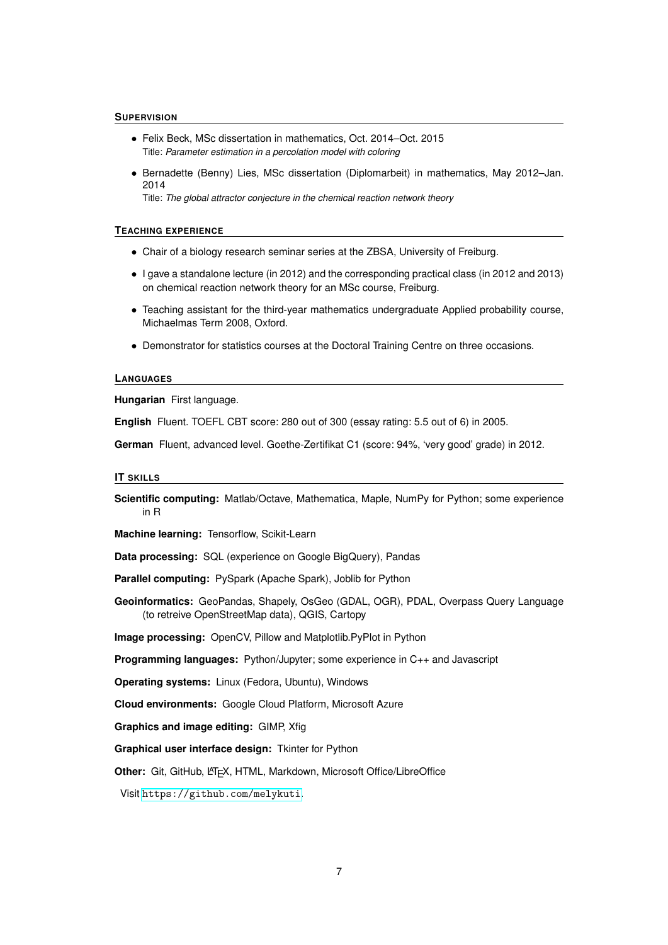### **SUPERVISION**

- Felix Beck, MSc dissertation in mathematics, Oct. 2014–Oct. 2015 Title: *Parameter estimation in a percolation model with coloring*
- Bernadette (Benny) Lies, MSc dissertation (Diplomarbeit) in mathematics, May 2012–Jan. 2014

Title: *The global attractor conjecture in the chemical reaction network theory*

#### **TEACHING EXPERIENCE**

- Chair of a biology research seminar series at the ZBSA, University of Freiburg.
- I gave a standalone lecture (in 2012) and the corresponding practical class (in 2012 and 2013) on chemical reaction network theory for an MSc course, Freiburg.
- Teaching assistant for the third-year mathematics undergraduate Applied probability course, Michaelmas Term 2008, Oxford.
- Demonstrator for statistics courses at the Doctoral Training Centre on three occasions.

### **LANGUAGES**

**Hungarian** First language.

**English** Fluent. TOEFL CBT score: 280 out of 300 (essay rating: 5.5 out of 6) in 2005.

**German** Fluent, advanced level. Goethe-Zertifikat C1 (score: 94%, 'very good' grade) in 2012.

### **IT SKILLS**

**Scientific computing:** Matlab/Octave, Mathematica, Maple, NumPy for Python; some experience in R

**Machine learning:** Tensorflow, Scikit-Learn

**Data processing:** SQL (experience on Google BigQuery), Pandas

**Parallel computing:** PySpark (Apache Spark), Joblib for Python

**Geoinformatics:** GeoPandas, Shapely, OsGeo (GDAL, OGR), PDAL, Overpass Query Language (to retreive OpenStreetMap data), QGIS, Cartopy

**Image processing:** OpenCV, Pillow and Matplotlib.PyPlot in Python

**Programming languages:** Python/Jupyter; some experience in C++ and Javascript

**Operating systems:** Linux (Fedora, Ubuntu), Windows

**Cloud environments:** Google Cloud Platform, Microsoft Azure

**Graphics and image editing:** GIMP, Xfig

### **Graphical user interface design:** Tkinter for Python

Other: Git, GitHub, LATEX, HTML, Markdown, Microsoft Office/LibreOffice

Visit <https://github.com/melykuti>.